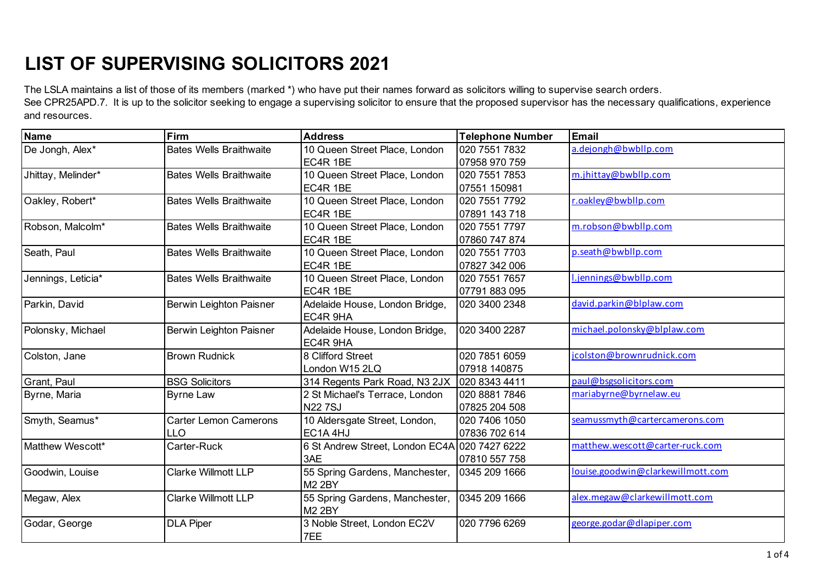The LSLA maintains a list of those of its members (marked \*) who have put their names forward as solicitors willing to supervise search orders. See CPR25APD.7. It is up to the solicitor seeking to engage a supervising solicitor to ensure that the proposed supervisor has the necessary qualifications, experience and resources.

| <b>Name</b>        | Firm                           | <b>Address</b>                                | <b>Telephone Number</b> | <b>Email</b>                      |
|--------------------|--------------------------------|-----------------------------------------------|-------------------------|-----------------------------------|
| De Jongh, Alex*    | <b>Bates Wells Braithwaite</b> | 10 Queen Street Place, London                 | 020 7551 7832           | a.dejongh@bwbllp.com              |
|                    |                                | EC4R 1BE                                      | 07958 970 759           |                                   |
| Jhittay, Melinder* | <b>Bates Wells Braithwaite</b> | 10 Queen Street Place, London                 | 020 7551 7853           | m.jhittay@bwbllp.com              |
|                    |                                | EC4R 1BE                                      | 07551 150981            |                                   |
| Oakley, Robert*    | <b>Bates Wells Braithwaite</b> | 10 Queen Street Place, London                 | 020 7551 7792           | r.oakley@bwbllp.com               |
|                    |                                | EC4R 1BE                                      | 07891 143 718           |                                   |
| Robson, Malcolm*   | <b>Bates Wells Braithwaite</b> | 10 Queen Street Place, London                 | 020 7551 7797           | m.robson@bwbllp.com               |
|                    |                                | EC4R 1BE                                      | 07860 747 874           |                                   |
| Seath, Paul        | <b>Bates Wells Braithwaite</b> | 10 Queen Street Place, London                 | 020 7551 7703           | p.seath@bwbllp.com                |
|                    |                                | EC4R 1BE                                      | 07827 342 006           |                                   |
| Jennings, Leticia* | <b>Bates Wells Braithwaite</b> | 10 Queen Street Place, London                 | 020 7551 7657           | l.jennings@bwbllp.com             |
|                    |                                | EC4R 1BE                                      | 07791883095             |                                   |
| Parkin, David      | Berwin Leighton Paisner        | Adelaide House, London Bridge,                | 020 3400 2348           | david.parkin@blplaw.com           |
|                    |                                | EC4R 9HA                                      |                         |                                   |
| Polonsky, Michael  | Berwin Leighton Paisner        | Adelaide House, London Bridge,                | 020 3400 2287           | michael.polonsky@blplaw.com       |
|                    |                                | EC4R 9HA                                      |                         |                                   |
| Colston, Jane      | <b>Brown Rudnick</b>           | 8 Clifford Street                             | 020 7851 6059           | jcolston@brownrudnick.com         |
|                    |                                | London W15 2LQ                                | 07918 140875            |                                   |
| Grant, Paul        | <b>BSG Solicitors</b>          | 314 Regents Park Road, N3 2JX                 | 020 8343 4411           | paul@bsgsolicitors.com            |
| Byrne, Maria       | <b>Byrne Law</b>               | 2 St Michael's Terrace, London                | 020 8881 7846           | mariabyrne@byrnelaw.eu            |
|                    |                                | <b>N227SJ</b>                                 | 07825 204 508           |                                   |
| Smyth, Seamus*     | <b>Carter Lemon Camerons</b>   | 10 Aldersgate Street, London,                 | 020 7406 1050           | seamussmyth@cartercamerons.com    |
|                    | LLO                            | EC1A4HJ                                       | 07836 702 614           |                                   |
| Matthew Wescott*   | Carter-Ruck                    | 6 St Andrew Street, London EC4A 020 7427 6222 |                         | matthew.wescott@carter-ruck.com   |
|                    |                                | 3AE                                           | 07810 557 758           |                                   |
| Goodwin, Louise    | <b>Clarke Willmott LLP</b>     | 55 Spring Gardens, Manchester,                | 0345 209 1666           | louise.goodwin@clarkewillmott.com |
|                    |                                | <b>M2 2BY</b>                                 |                         |                                   |
| Megaw, Alex        | <b>Clarke Willmott LLP</b>     | 55 Spring Gardens, Manchester,                | 0345 209 1666           | alex.megaw@clarkewillmott.com     |
|                    |                                | <b>M2 2BY</b>                                 |                         |                                   |
| Godar, George      | <b>DLA Piper</b>               | 3 Noble Street, London EC2V                   | 020 7796 6269           | george.godar@dlapiper.com         |
|                    |                                | 7EE                                           |                         |                                   |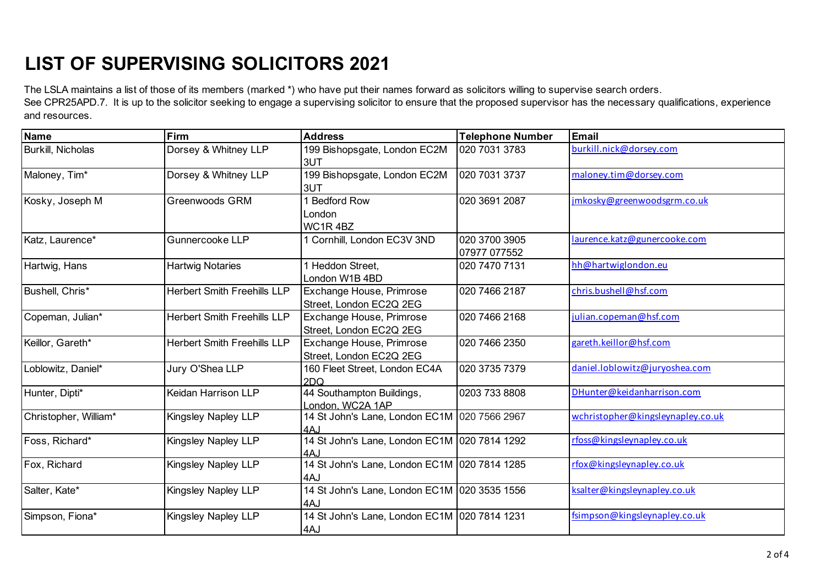The LSLA maintains a list of those of its members (marked \*) who have put their names forward as solicitors willing to supervise search orders.

See CPR25APD.7. It is up to the solicitor seeking to engage a supervising solicitor to ensure that the proposed supervisor has the necessary qualifications, experience and resources.

| <b>Name</b>              | Firm                               | <b>Address</b>                                      | <b>Telephone Number</b>       | <b>Email</b>                      |
|--------------------------|------------------------------------|-----------------------------------------------------|-------------------------------|-----------------------------------|
| <b>Burkill, Nicholas</b> | Dorsey & Whitney LLP               | 199 Bishopsgate, London EC2M<br>3UT                 | 020 7031 3783                 | burkill.nick@dorsey.com           |
| Maloney, Tim*            | Dorsey & Whitney LLP               | 199 Bishopsgate, London EC2M<br>3UT                 | 020 7031 3737                 | maloney.tim@dorsey.com            |
| Kosky, Joseph M          | Greenwoods GRM                     | <b>Bedford Row</b><br>London<br>WC1R4BZ             | 020 3691 2087                 | jmkosky@greenwoodsgrm.co.uk       |
| Katz, Laurence*          | Gunnercooke LLP                    | 1 Cornhill, London EC3V 3ND                         | 020 3700 3905<br>07977 077552 | laurence.katz@gunercooke.com      |
| Hartwig, Hans            | <b>Hartwig Notaries</b>            | 1 Heddon Street,<br>London W1B 4BD                  | 020 7470 7131                 | hh@hartwiglondon.eu               |
| Bushell, Chris*          | <b>Herbert Smith Freehills LLP</b> | Exchange House, Primrose<br>Street, London EC2Q 2EG | 020 7466 2187                 | chris.bushell@hsf.com             |
| Copeman, Julian*         | <b>Herbert Smith Freehills LLP</b> | Exchange House, Primrose<br>Street, London EC2Q 2EG | 020 7466 2168                 | julian.copeman@hsf.com            |
| Keillor, Gareth*         | <b>Herbert Smith Freehills LLP</b> | Exchange House, Primrose<br>Street, London EC2Q 2EG | 020 7466 2350                 | gareth.keillor@hsf.com            |
| Loblowitz, Daniel*       | Jury O'Shea LLP                    | 160 Fleet Street, London EC4A<br>2DQ                | 020 3735 7379                 | daniel.loblowitz@juryoshea.com    |
| Hunter, Dipti*           | Keidan Harrison LLP                | 44 Southampton Buildings,<br>London, WC2A 1AP       | 0203 733 8808                 | DHunter@keidanharrison.com        |
| Christopher, William*    | Kingsley Napley LLP                | 14 St John's Lane, London EC1M 020 7566 2967<br>4AJ |                               | wchristopher@kingsleynapley.co.uk |
| Foss, Richard*           | Kingsley Napley LLP                | 14 St John's Lane, London EC1M 020 7814 1292<br>4AJ |                               | rfoss@kingsleynapley.co.uk        |
| Fox, Richard             | Kingsley Napley LLP                | 14 St John's Lane, London EC1M 020 7814 1285<br>4AJ |                               | rfox@kingsleynapley.co.uk         |
| Salter, Kate*            | Kingsley Napley LLP                | 14 St John's Lane, London EC1M 020 3535 1556<br>4AJ |                               | ksalter@kingsleynapley.co.uk      |
| Simpson, Fiona*          | Kingsley Napley LLP                | 14 St John's Lane, London EC1M 020 7814 1231<br>4AJ |                               | fsimpson@kingsleynapley.co.uk     |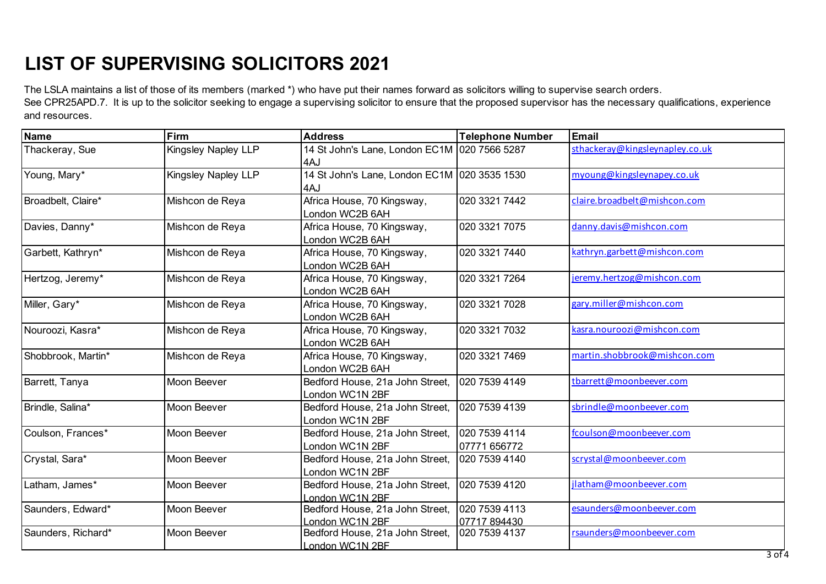and resources.

The LSLA maintains a list of those of its members (marked \*) who have put their names forward as solicitors willing to supervise search orders. See CPR25APD.7. It is up to the solicitor seeking to engage a supervising solicitor to ensure that the proposed supervisor has the necessary qualifications, experience

| <b>Name</b>        | Firm                       | <b>Address</b>                               | <b>Telephone Number</b> | <b>Email</b>                    |
|--------------------|----------------------------|----------------------------------------------|-------------------------|---------------------------------|
| Thackeray, Sue     | <b>Kingsley Napley LLP</b> | 14 St John's Lane, London EC1M 020 7566 5287 |                         | sthackeray@kingsleynapley.co.uk |
|                    |                            | 4AJ                                          |                         |                                 |
| Young, Mary*       | <b>Kingsley Napley LLP</b> | 14 St John's Lane, London EC1M 020 3535 1530 |                         | myoung@kingsleynapey.co.uk      |
|                    |                            | 4AJ                                          |                         |                                 |
| Broadbelt, Claire* | Mishcon de Reya            | Africa House, 70 Kingsway,                   | 020 3321 7442           | claire.broadbelt@mishcon.com    |
|                    |                            | London WC2B 6AH                              |                         |                                 |
| Davies, Danny*     | Mishcon de Reya            | Africa House, 70 Kingsway,                   | 020 3321 7075           | danny.davis@mishcon.com         |
|                    |                            | London WC2B 6AH                              |                         |                                 |
| Garbett, Kathryn*  | Mishcon de Reya            | Africa House, 70 Kingsway,                   | 020 3321 7440           | kathryn.garbett@mishcon.com     |
|                    |                            | London WC2B 6AH                              |                         |                                 |
| Hertzog, Jeremy*   | Mishcon de Reya            | Africa House, 70 Kingsway,                   | 020 3321 7264           | jeremy.hertzog@mishcon.com      |
|                    |                            | London WC2B 6AH                              |                         |                                 |
| Miller, Gary*      | Mishcon de Reya            | Africa House, 70 Kingsway,                   | 020 3321 7028           | gary.miller@mishcon.com         |
|                    |                            | London WC2B 6AH                              |                         |                                 |
| Nouroozi, Kasra*   | Mishcon de Reya            | Africa House, 70 Kingsway,                   | 020 3321 7032           | kasra.nouroozi@mishcon.com      |
|                    |                            | London WC2B 6AH                              |                         |                                 |
| Shobbrook, Martin* | Mishcon de Reya            | Africa House, 70 Kingsway,                   | 020 3321 7469           | martin.shobbrook@mishcon.com    |
|                    |                            | London WC2B 6AH                              |                         |                                 |
| Barrett, Tanya     | Moon Beever                | Bedford House, 21a John Street,              | 020 7539 4149           | tbarrett@moonbeever.com         |
|                    |                            | London WC1N 2BF                              |                         |                                 |
| Brindle, Salina*   | Moon Beever                | Bedford House, 21a John Street,              | 020 7539 4139           | sbrindle@moonbeever.com         |
|                    |                            | London WC1N 2BF                              |                         |                                 |
| Coulson, Frances*  | Moon Beever                | Bedford House, 21a John Street,              | 020 7539 4114           | fcoulson@moonbeever.com         |
|                    |                            | London WC1N 2BF                              | 07771 656772            |                                 |
| Crystal, Sara*     | Moon Beever                | Bedford House, 21a John Street,              | 020 7539 4140           | scrystal@moonbeever.com         |
|                    |                            | London WC1N 2BF                              |                         |                                 |
| Latham, James*     | Moon Beever                | Bedford House, 21a John Street,              | 020 7539 4120           | jlatham@moonbeever.com          |
|                    |                            | London WC1N 2BF                              |                         |                                 |
| Saunders, Edward*  | Moon Beever                | Bedford House, 21a John Street,              | 020 7539 4113           | esaunders@moonbeever.com        |
|                    |                            | London WC1N 2BF                              | 07717894430             |                                 |
| Saunders, Richard* | Moon Beever                | Bedford House, 21a John Street,              | 020 7539 4137           | rsaunders@moonbeever.com        |
|                    |                            | London WC1N 2BF                              |                         |                                 |